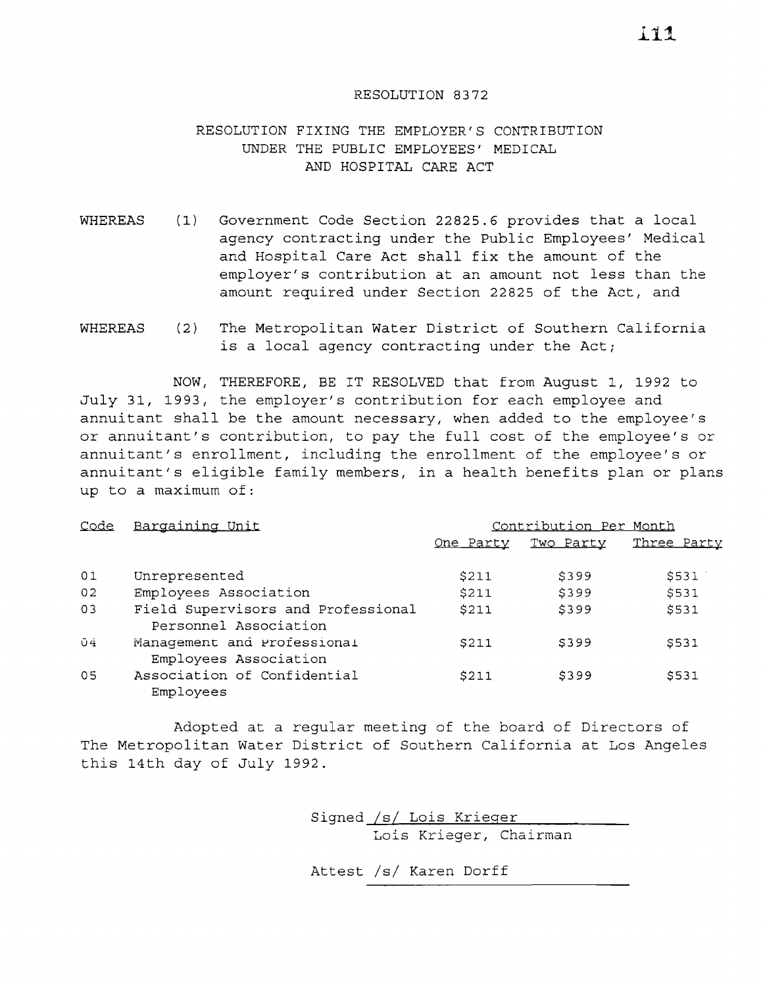## RESOLUTION 8372

## RESOLUTION FIXING THE EMPLOYER'S CONTRIBUTION UNDER THE PUBLIC EMPLOYEES' MEDICAL AND HOSPITAL CARE ACT

- WHEREAS (1) Government Code Section 22825.6 provides that a local agency contracting under the Public Employees' Medical and Hospital Care Act shall fix the amount of the employer's contribution at an amount not less than the amount required under Section 22825 of the Act, and
- WHEREAS  $(2)$ The Metropolitan Water District of Southern California is <sup>a</sup> local agency contracting under the Act;

NOW, THEREFORE, BE IT RESOLVED that from August 1, 1992 to July 31, 1993, the employer's contribution for each employee and annuitant shall be the amount necessary, when added to the employee's or annuitant's contribution, to pay the full cost of the employee's or annuitant's enrollment, including the enrollment of the employee's or annuitant's eligible family members, in <sup>a</sup> health benefits plan or plans up to a maximum of:

| <u>Code</u> | Bargaining Unit                                             | Contribution Per Month |           |             |
|-------------|-------------------------------------------------------------|------------------------|-----------|-------------|
|             |                                                             | One Party              | Two Party | Three Party |
| 01          | Unrepresented                                               | \$211                  | \$399     | \$531       |
| 02          | Employees Association                                       | \$211                  | \$399     | \$531       |
| 03          | Field Supervisors and Professional<br>Personnel Association | <b>\$211</b>           | \$399     | \$531       |
| 04          | Management and Professional<br>Employees Association        | S211                   | S399      | S531        |
| 05          | Association of Confidential<br>Employees                    | \$211                  | \$399     | \$531       |

Adopted at <sup>a</sup> regular meeting of the board of Directors of The Metropolitan Water District of Southern California at Los Angeles this 14th day of July 1992.

> Signed *lsi* Lois Krieger Lois Krieger, Chairman

Attest *lsi* Karen Dorff

 $111$